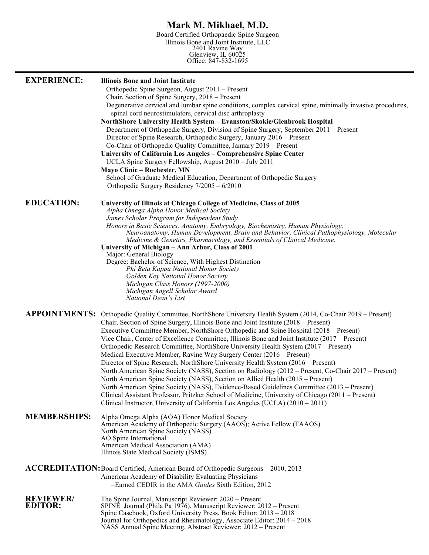# **Mark M. Mikhael, M.D.**

Board Certified Orthopaedic Spine Surgeon Illinois Bone and Joint Institute, LLC 2401 Ravine Way Glenview, IL 60025 Office: 847-832-1695

| <b>EXPERIENCE:</b>                 | <b>Illinois Bone and Joint Institute</b><br>Orthopedic Spine Surgeon, August 2011 – Present<br>Chair, Section of Spine Surgery, 2018 – Present<br>Degenerative cervical and lumbar spine conditions, complex cervical spine, minimally invasive procedures,<br>spinal cord neurostimulators, cervical disc arthroplasty<br>NorthShore University Health System - Evanston/Skokie/Glenbrook Hospital<br>Department of Orthopedic Surgery, Division of Spine Surgery, September 2011 - Present<br>Director of Spine Research, Orthopedic Surgery, January 2016 – Present<br>Co-Chair of Orthopedic Quality Committee, January 2019 – Present<br>University of California Los Angeles - Comprehensive Spine Center<br>UCLA Spine Surgery Fellowship, August 2010 - July 2011<br><b>Mayo Clinic - Rochester, MN</b><br>School of Graduate Medical Education, Department of Orthopedic Surgery<br>Orthopedic Surgery Residency 7/2005 - 6/2010                                                                                                                                                                                           |
|------------------------------------|-------------------------------------------------------------------------------------------------------------------------------------------------------------------------------------------------------------------------------------------------------------------------------------------------------------------------------------------------------------------------------------------------------------------------------------------------------------------------------------------------------------------------------------------------------------------------------------------------------------------------------------------------------------------------------------------------------------------------------------------------------------------------------------------------------------------------------------------------------------------------------------------------------------------------------------------------------------------------------------------------------------------------------------------------------------------------------------------------------------------------------------|
| <b>EDUCATION:</b>                  | University of Illinois at Chicago College of Medicine, Class of 2005<br>Alpha Omega Alpha Honor Medical Society<br>James Scholar Program for Independent Study<br>Honors in Basic Sciences: Anatomy, Embryology, Biochemistry, Human Physiology,<br>Neuroanatomy, Human Development, Brain and Behavior, Clinical Pathophysiology, Molecular<br>Medicine & Genetics, Pharmacology, and Essentials of Clinical Medicine.<br>University of Michigan - Ann Arbor, Class of 2001<br>Major: General Biology<br>Degree: Bachelor of Science, With Highest Distinction<br>Phi Beta Kappa National Honor Society<br>Golden Key National Honor Society<br>Michigan Class Honors (1997-2000)<br>Michigan Angell Scholar Award<br>National Dean's List                                                                                                                                                                                                                                                                                                                                                                                         |
|                                    | APPOINTMENTS: Orthopedic Quality Committee, NorthShore University Health System (2014, Co-Chair 2019 - Present)<br>Chair, Section of Spine Surgery, Illinois Bone and Joint Institute (2018 – Present)<br>Executive Committee Member, NorthShore Orthopedic and Spine Hospital (2018 – Present)<br>Vice Chair, Center of Excellence Committee, Illinois Bone and Joint Institute (2017 – Present)<br>Orthopedic Research Committee, NorthShore University Health System (2017 – Present)<br>Medical Executive Member, Ravine Way Surgery Center (2016 – Present)<br>Director of Spine Research, NorthShore University Health System (2016 - Present)<br>North American Spine Society (NASS), Section on Radiology (2012 – Present, Co-Chair 2017 – Present)<br>North American Spine Society (NASS), Section on Allied Health (2015 – Present)<br>North American Spine Society (NASS), Evidence-Based Guidelines Committee (2013 – Present)<br>Clinical Assistant Professor, Pritzker School of Medicine, University of Chicago (2011 – Present)<br>Clinical Instructor, University of California Los Angeles (UCLA) $(2010 - 2011)$ |
| <b>MEMBERSHIPS:</b>                | Alpha Omega Alpha (AOA) Honor Medical Society<br>American Academy of Orthopedic Surgery (AAOS); Active Fellow (FAAOS)<br>North American Spine Society (NASS)<br>AO Spine International<br>American Medical Association (AMA)<br>Illinois State Medical Society (ISMS)                                                                                                                                                                                                                                                                                                                                                                                                                                                                                                                                                                                                                                                                                                                                                                                                                                                               |
|                                    | ACCREDITATION: Board Certified, American Board of Orthopedic Surgeons - 2010, 2013<br>American Academy of Disability Evaluating Physicians<br>-Earned CEDIR in the AMA Guides Sixth Edition, 2012                                                                                                                                                                                                                                                                                                                                                                                                                                                                                                                                                                                                                                                                                                                                                                                                                                                                                                                                   |
| <b>REVIEWER/</b><br><b>EDITOR:</b> | The Spine Journal, Manuscript Reviewer: 2020 - Present<br>SPINĖ Journal (Phila Pa 1976), Manuscript Reviewer: 2012 – Present<br>Spine Casebook, Oxford University Press, Book Editor: 2013 - 2018<br>Journal for Orthopedics and Rheumatology, Associate Editor: 2014 – 2018<br>NASS Annual Spine Meeting, Abstract Reviewer: 2012 – Present                                                                                                                                                                                                                                                                                                                                                                                                                                                                                                                                                                                                                                                                                                                                                                                        |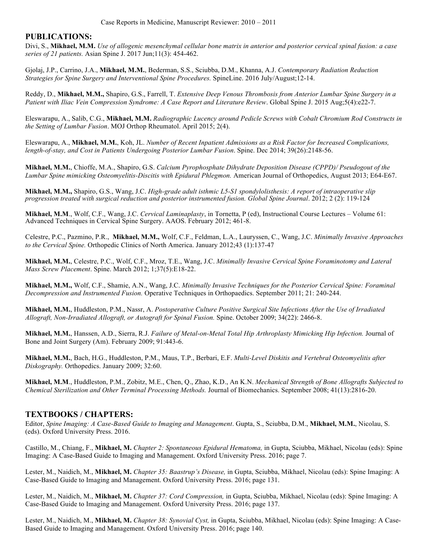## **PUBLICATIONS:**

Divi, S., **Mikhael, M.M.** *Use of allogenic mesenchymal cellular bone matrix in anterior and posterior cervical spinal fusion: a case series of 21 patients.* Asian Spine J. 2017 Jun;11(3): 454-462.

Gjolaj, J.P., Carrino, J.A., **Mikhael, M.M.**, Bederman, S.S., Sciubba, D.M., Khanna, A.J. *Contemporary Radiation Reduction Strategies for Spine Surgery and Interventional Spine Procedures.* SpineLine. 2016 July/August;12-14.

Reddy, D., **Mikhael, M.M.,** Shapiro, G.S., Farrell, T. *Extensive Deep Venous Thrombosis from Anterior Lumbar Spine Surgery in a Patient with Iliac Vein Compression Syndrome: A Case Report and Literature Review*. Global Spine J. 2015 Aug;5(4):e22-7.

Eleswarapu, A., Salib, C.G., **Mikhael, M.M.** *Radiographic Lucency around Pedicle Screws with Cobalt Chromium Rod Constructs in the Setting of Lumbar Fusion*. MOJ Orthop Rheumatol. April 2015; 2(4).

Eleswarapu, A., **Mikhael, M.M.**, Koh, JL. *Number of Recent Inpatient Admissions as a Risk Factor for Increased Complications, length-of-stay, and Cost in Patients Undergoing Posterior Lumbar Fusion*. Spine. Dec 2014; 39(26):2148-56.

**Mikhael, M.M.**, Chioffe, M.A., Shapiro, G.S. *Calcium Pyrophosphate Dihydrate Deposition Disease (CPPD)/ Pseudogout of the Lumbar Spine mimicking Osteomyelitis-Discitis with Epidural Phlegmon.* American Journal of Orthopedics, August 2013; E64-E67.

**Mikhael, M.M.,** Shapiro, G.S., Wang, J.C. *High-grade adult isthmic L5-S1 spondylolisthesis: A report of intraoperative slip progression treated with surgical reduction and posterior instrumented fusion. Global Spine Journal*. 2012; 2 (2): 119-124

**Mikhael, M.M**., Wolf, C.F., Wang, J.C. *Cervical Laminaplasty*, in Tornetta, P (ed), Instructional Course Lectures – Volume 61: Advanced Techniques in Cervical Spine Surgery. AAOS. February 2012; 461-8.

Celestre, P.C., Pazmino, P.R., **Mikhael, M.M.,** Wolf, C.F., Feldman, L.A., Lauryssen, C., Wang, J.C. *Minimally Invasive Approaches to the Cervical Spine.* Orthopedic Clinics of North America. January 2012;43 (1):137-47

**Mikhael, M.M.**, Celestre, P.C., Wolf, C.F., Mroz, T.E., Wang, J.C. *Minimally Invasive Cervical Spine Foraminotomy and Lateral Mass Screw Placement*. Spine. March 2012; 1;37(5):E18-22.

**Mikhael, M.M.,** Wolf, C.F., Shamie, A.N., Wang, J.C. *Minimally Invasive Techniques for the Posterior Cervical Spine: Foraminal Decompression and Instrumented Fusion.* Operative Techniques in Orthopaedics. September 2011; 21: 240-244.

**Mikhael, M.M.**, Huddleston, P.M., Nassr, A. *Postoperative Culture Positive Surgical Site Infections After the Use of Irradiated Allograft, Non-Irradiated Allograft, or Autograft for Spinal Fusion.* Spine. October 2009; 34(22): 2466-8.

**Mikhael, M.M.**, Hanssen, A.D., Sierra, R.J. *Failure of Metal-on-Metal Total Hip Arthroplasty Mimicking Hip Infection.* Journal of Bone and Joint Surgery (Am). February 2009; 91:443-6.

**Mikhael, M.M.**, Bach, H.G., Huddleston, P.M., Maus, T.P., Berbari, E.F. *Multi-Level Diskitis and Vertebral Osteomyelitis after Diskography.* Orthopedics. January 2009; 32:60.

**Mikhael, M.M**., Huddleston, P.M., Zobitz, M.E., Chen, Q., Zhao, K.D., An K.N. *Mechanical Strength of Bone Allografts Subjected to Chemical Sterilization and Other Terminal Processing Methods.* Journal of Biomechanics. September 2008; 41(13):2816-20.

### **TEXTBOOKS / CHAPTERS:**

Editor, *Spine Imaging: A Case-Based Guide to Imaging and Management*. Gupta, S., Sciubba, D.M., **Mikhael, M.M.**, Nicolau, S. (eds). Oxford University Press. 2016.

Castillo, M., Chiang, F., **Mikhael, M.** *Chapter 2: Spontaneous Epidural Hematoma,* in Gupta, Sciubba, Mikhael, Nicolau (eds): Spine Imaging: A Case-Based Guide to Imaging and Management. Oxford University Press. 2016; page 7.

Lester, M., Naidich, M., **Mikhael, M.** *Chapter 35: Baastrup's Disease,* in Gupta, Sciubba, Mikhael, Nicolau (eds): Spine Imaging: A Case-Based Guide to Imaging and Management. Oxford University Press. 2016; page 131.

Lester, M., Naidich, M., **Mikhael, M.** *Chapter 37: Cord Compression,* in Gupta, Sciubba, Mikhael, Nicolau (eds): Spine Imaging: A Case-Based Guide to Imaging and Management. Oxford University Press. 2016; page 137.

Lester, M., Naidich, M., **Mikhael, M.** *Chapter 38: Synovial Cyst,* in Gupta, Sciubba, Mikhael, Nicolau (eds): Spine Imaging: A Case-Based Guide to Imaging and Management. Oxford University Press. 2016; page 140.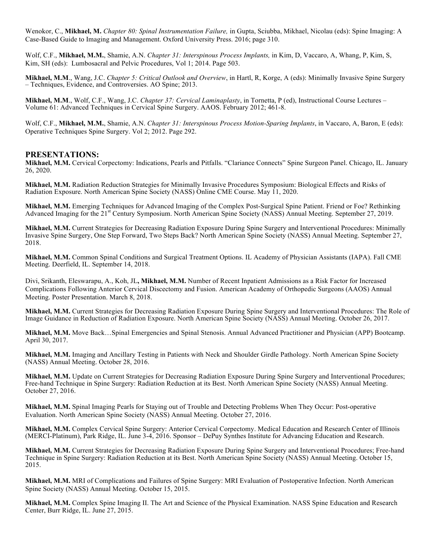Wenokor, C., **Mikhael, M.** *Chapter 80: Spinal Instrumentation Failure,* in Gupta, Sciubba, Mikhael, Nicolau (eds): Spine Imaging: A Case-Based Guide to Imaging and Management. Oxford University Press. 2016; page 310.

Wolf, C.F., **Mikhael, M.M.**, Shamie, A.N. *Chapter 31: Interspinous Process Implants,* in Kim, D, Vaccaro, A, Whang, P, Kim, S, Kim, SH (eds): Lumbosacral and Pelvic Procedures, Vol 1; 2014. Page 503.

**Mikhael, M.M**., Wang, J.C. *Chapter 5: Critical Outlook and Overview*, in Hartl, R, Korge, A (eds): Minimally Invasive Spine Surgery – Techniques, Evidence, and Controversies. AO Spine; 2013.

**Mikhael, M.M**., Wolf, C.F., Wang, J.C. *Chapter 37: Cervical Laminaplasty*, in Tornetta, P (ed), Instructional Course Lectures – Volume 61: Advanced Techniques in Cervical Spine Surgery. AAOS. February 2012; 461-8.

Wolf, C.F., **Mikhael, M.M.**, Shamie, A.N. *Chapter 31: Interspinous Process Motion-Sparing Implants*, in Vaccaro, A, Baron, E (eds): Operative Techniques Spine Surgery. Vol 2; 2012. Page 292.

#### **PRESENTATIONS:**

**Mikhael, M.M.** Cervical Corpectomy: Indications, Pearls and Pitfalls. "Clariance Connects" Spine Surgeon Panel. Chicago, IL. January 26, 2020.

**Mikhael, M.M.** Radiation Reduction Strategies for Minimally Invasive Procedures Symposium: Biological Effects and Risks of Radiation Exposure. North American Spine Society (NASS) Online CME Course. May 11, 2020.

**Mikhael, M.M.** Emerging Techniques for Advanced Imaging of the Complex Post-Surgical Spine Patient. Friend or Foe? Rethinking Advanced Imaging for the 21<sup>st</sup> Century Symposium. North American Spine Society (NASS) Annual Meeting. September 27, 2019.

**Mikhael, M.M.** Current Strategies for Decreasing Radiation Exposure During Spine Surgery and Interventional Procedures: Minimally Invasive Spine Surgery, One Step Forward, Two Steps Back? North American Spine Society (NASS) Annual Meeting. September 27, 2018.

**Mikhael, M.M.** Common Spinal Conditions and Surgical Treatment Options. IL Academy of Physician Assistants (IAPA). Fall CME Meeting. Deerfield, IL. September 14, 2018.

Divi, Srikanth, Eleswarapu, A., Koh, JL**, Mikhael, M.M.** Number of Recent Inpatient Admissions as a Risk Factor for Increased Complications Following Anterior Cervical Discectomy and Fusion. American Academy of Orthopedic Surgeons (AAOS) Annual Meeting. Poster Presentation. March 8, 2018.

**Mikhael, M.M.** Current Strategies for Decreasing Radiation Exposure During Spine Surgery and Interventional Procedures: The Role of Image Guidance in Reduction of Radiation Exposure. North American Spine Society (NASS) Annual Meeting. October 26, 2017.

**Mikhael, M.M.** Move Back…Spinal Emergencies and Spinal Stenosis. Annual Advanced Practitioner and Physician (APP) Bootcamp. April 30, 2017.

**Mikhael, M.M.** Imaging and Ancillary Testing in Patients with Neck and Shoulder Girdle Pathology. North American Spine Society (NASS) Annual Meeting. October 28, 2016.

**Mikhael, M.M.** Update on Current Strategies for Decreasing Radiation Exposure During Spine Surgery and Interventional Procedures; Free-hand Technique in Spine Surgery: Radiation Reduction at its Best. North American Spine Society (NASS) Annual Meeting. October 27, 2016.

**Mikhael, M.M.** Spinal Imaging Pearls for Staying out of Trouble and Detecting Problems When They Occur: Post-operative Evaluation. North American Spine Society (NASS) Annual Meeting. October 27, 2016.

**Mikhael, M.M.** Complex Cervical Spine Surgery: Anterior Cervical Corpectomy. Medical Education and Research Center of Illinois (MERCI-Platinum), Park Ridge, IL. June 3-4, 2016. Sponsor – DePuy Synthes Institute for Advancing Education and Research.

**Mikhael, M.M.** Current Strategies for Decreasing Radiation Exposure During Spine Surgery and Interventional Procedures; Free-hand Technique in Spine Surgery: Radiation Reduction at its Best. North American Spine Society (NASS) Annual Meeting. October 15, 2015.

**Mikhael, M.M.** MRI of Complications and Failures of Spine Surgery: MRI Evaluation of Postoperative Infection. North American Spine Society (NASS) Annual Meeting. October 15, 2015.

**Mikhael, M.M.** Complex Spine Imaging II. The Art and Science of the Physical Examination. NASS Spine Education and Research Center, Burr Ridge, IL. June 27, 2015.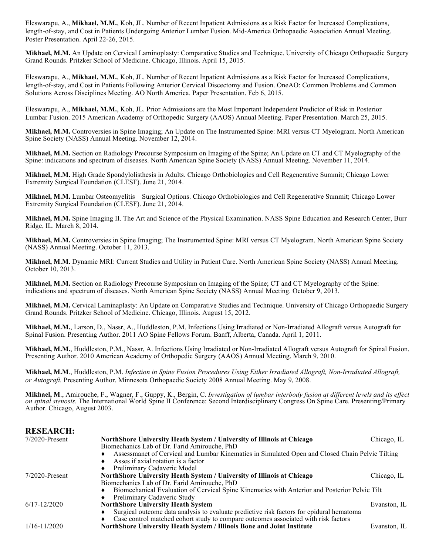Eleswarapu, A., **Mikhael, M.M.**, Koh, JL. Number of Recent Inpatient Admissions as a Risk Factor for Increased Complications, length-of-stay, and Cost in Patients Undergoing Anterior Lumbar Fusion. Mid-America Orthopaedic Association Annual Meeting. Poster Presentation. April 22-26, 2015.

**Mikhael, M.M.** An Update on Cervical Laminoplasty: Comparative Studies and Technique. University of Chicago Orthopaedic Surgery Grand Rounds. Pritzker School of Medicine. Chicago, Illinois. April 15, 2015.

Eleswarapu, A., **Mikhael, M.M.**, Koh, JL. Number of Recent Inpatient Admissions as a Risk Factor for Increased Complications, length-of-stay, and Cost in Patients Following Anterior Cervical Discectomy and Fusion. OneAO: Common Problems and Common Solutions Across Disciplines Meeting. AO North America. Paper Presentation. Feb 6, 2015.

Eleswarapu, A., **Mikhael, M.M.**, Koh, JL. Prior Admissions are the Most Important Independent Predictor of Risk in Posterior Lumbar Fusion. 2015 American Academy of Orthopedic Surgery (AAOS) Annual Meeting. Paper Presentation. March 25, 2015.

**Mikhael, M.M.** Controversies in Spine Imaging; An Update on The Instrumented Spine: MRI versus CT Myelogram. North American Spine Society (NASS) Annual Meeting. November 12, 2014.

**Mikhael, M.M.** Section on Radiology Precourse Symposium on Imaging of the Spine; An Update on CT and CT Myelography of the Spine: indications and spectrum of diseases. North American Spine Society (NASS) Annual Meeting. November 11, 2014.

**Mikhael, M.M.** High Grade Spondylolisthesis in Adults. Chicago Orthobiologics and Cell Regenerative Summit; Chicago Lower Extremity Surgical Foundation (CLESF). June 21, 2014.

**Mikhael, M.M.** Lumbar Osteomyelitis – Surgical Options. Chicago Orthobiologics and Cell Regenerative Summit; Chicago Lower Extremity Surgical Foundation (CLESF). June 21, 2014.

**Mikhael, M.M.** Spine Imaging II. The Art and Science of the Physical Examination. NASS Spine Education and Research Center, Burr Ridge, IL. March 8, 2014.

**Mikhael, M.M.** Controversies in Spine Imaging; The Instrumented Spine: MRI versus CT Myelogram. North American Spine Society (NASS) Annual Meeting. October 11, 2013.

**Mikhael, M.M.** Dynamic MRI: Current Studies and Utility in Patient Care. North American Spine Society (NASS) Annual Meeting. October 10, 2013.

**Mikhael, M.M.** Section on Radiology Precourse Symposium on Imaging of the Spine; CT and CT Myelography of the Spine: indications and spectrum of diseases. North American Spine Society (NASS) Annual Meeting. October 9, 2013.

**Mikhael, M.M.** Cervical Laminaplasty: An Update on Comparative Studies and Technique. University of Chicago Orthopaedic Surgery Grand Rounds. Pritzker School of Medicine. Chicago, Illinois. August 15, 2012.

**Mikhael, M.M.**, Larson, D., Nassr, A., Huddleston, P.M. Infections Using Irradiated or Non-Irradiated Allograft versus Autograft for Spinal Fusion. Presenting Author. 2011 AO Spine Fellows Forum. Banff, Alberta, Canada. April 1, 2011.

**Mikhael, M.M.**, Huddleston, P.M., Nassr, A. Infections Using Irradiated or Non-Irradiated Allograft versus Autograft for Spinal Fusion. Presenting Author. 2010 American Academy of Orthopedic Surgery (AAOS) Annual Meeting. March 9, 2010.

**Mikhael, M.M**., Huddleston, P.M. *Infection in Spine Fusion Procedures Using Either Irradiated Allograft, Non-Irradiated Allograft, or Autograft.* Presenting Author. Minnesota Orthopaedic Society 2008 Annual Meeting. May 9, 2008.

**Mikhael, M**., Amirouche, F., Wagner, F., Guppy, K., Bergin, C. *Investigation of lumbar interbody fusion at different levels and its effect on spinal stenosis.* The International World Spine II Conference: Second Interdisciplinary Congress On Spine Care. Presenting/Primary Author. Chicago, August 2003.

#### **RESEARCH:** 7/2020-Present **NorthShore University Heath System / University of Illinois at Chicago** Chicago, IL Biomechanics Lab of Dr. Farid Amirouche, PhD Assessmanet of Cervical and Lumbar Kinematics in Simulated Open and Closed Chain Pelvic Tilting Asses if axial rotation is a factor Preliminary Cadaveric Model 7/2020-Present **NorthShore University Heath System / University of Illinois at Chicago** Chicago, IL Biomechanics Lab of Dr. Farid Amirouche, PhD ♦ Biomechanical Evaluation of Cervical Spine Kinematics with Anterior and Posterior Pelvic Tilt Preliminary Cadaveric Study 6/17-12/2020 **NorthShore University Heath System** Evanston, IL Surgical outcome data analysis to evaluate predictive risk factors for epidural hematoma Case control matched cohort study to compare outcomes associated with risk factors 1/16-11/2020 **NorthShore University Heath System / Illinois Bone and Joint Institute** Evanston, IL